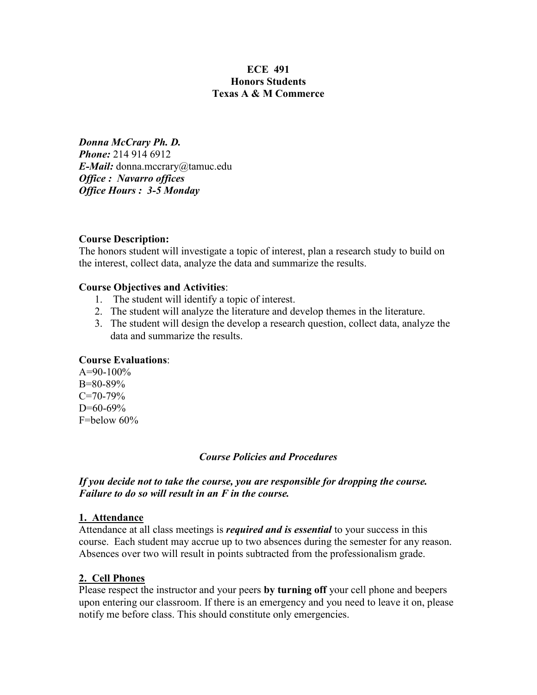# **ECE 491 Honors Students Texas A & M Commerce**

*Donna McCrary Ph. D. Phone:* 214 914 6912 *E-Mail:* donna.mccrary@tamuc.edu *Office : Navarro offices Office Hours : 3-5 Monday*

## **Course Description:**

The honors student will investigate a topic of interest, plan a research study to build on the interest, collect data, analyze the data and summarize the results.

## **Course Objectives and Activities**:

- 1. The student will identify a topic of interest.
- 2. The student will analyze the literature and develop themes in the literature.
- 3. The student will design the develop a research question, collect data, analyze the data and summarize the results.

# **Course Evaluations**:

 $A=90-100\%$ B=80-89%  $C=70-79%$  $D=60-69%$ F=below 60%

# *Course Policies and Procedures*

*If you decide not to take the course, you are responsible for dropping the course. Failure to do so will result in an F in the course.*

#### **1. Attendance**

Attendance at all class meetings is *required and is essential* to your success in this course. Each student may accrue up to two absences during the semester for any reason. Absences over two will result in points subtracted from the professionalism grade.

#### **2. Cell Phones**

Please respect the instructor and your peers **by turning off** your cell phone and beepers upon entering our classroom. If there is an emergency and you need to leave it on, please notify me before class. This should constitute only emergencies.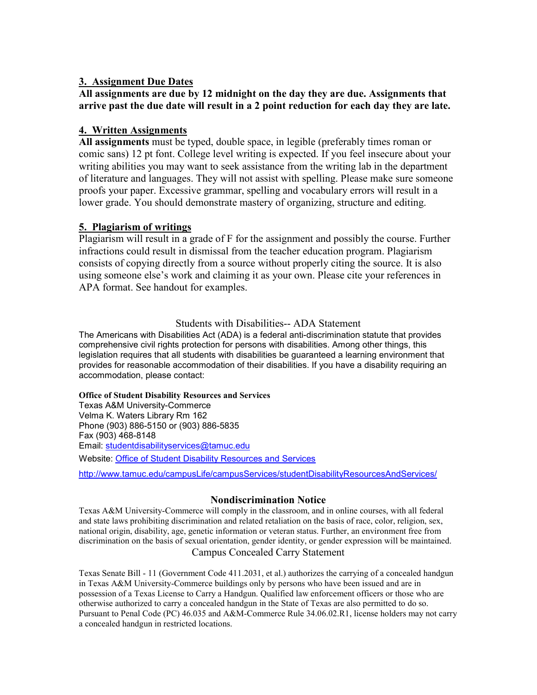## **3. Assignment Due Dates**

## **All assignments are due by 12 midnight on the day they are due. Assignments that arrive past the due date will result in a 2 point reduction for each day they are late.**

## **4. Written Assignments**

**All assignments** must be typed, double space, in legible (preferably times roman or comic sans) 12 pt font. College level writing is expected. If you feel insecure about your writing abilities you may want to seek assistance from the writing lab in the department of literature and languages. They will not assist with spelling. Please make sure someone proofs your paper. Excessive grammar, spelling and vocabulary errors will result in a lower grade. You should demonstrate mastery of organizing, structure and editing.

## **5. Plagiarism of writings**

Plagiarism will result in a grade of F for the assignment and possibly the course. Further infractions could result in dismissal from the teacher education program. Plagiarism consists of copying directly from a source without properly citing the source. It is also using someone else's work and claiming it as your own. Please cite your references in APA format. See handout for examples.

#### Students with Disabilities-- ADA Statement

The Americans with Disabilities Act (ADA) is a federal anti-discrimination statute that provides comprehensive civil rights protection for persons with disabilities. Among other things, this legislation requires that all students with disabilities be guaranteed a learning environment that provides for reasonable accommodation of their disabilities. If you have a disability requiring an accommodation, please contact:

#### **Office of Student Disability Resources and Services**

Texas A&M University-Commerce Velma K. Waters Library Rm 162 Phone (903) 886-5150 or (903) 886-5835 Fax (903) 468-8148 Email: [studentdisabilityservices@tamuc.edu](mailto:studentdisabilityservices@tamuc.edu) Website: [Office of Student Disability Resources and Services](http://www.tamuc.edu/campusLife/campusServices/studentDisabilityResourcesAndServices/)

<http://www.tamuc.edu/campusLife/campusServices/studentDisabilityResourcesAndServices/>

#### **Nondiscrimination Notice**

Texas A&M University-Commerce will comply in the classroom, and in online courses, with all federal and state laws prohibiting discrimination and related retaliation on the basis of race, color, religion, sex, national origin, disability, age, genetic information or veteran status. Further, an environment free from discrimination on the basis of sexual orientation, gender identity, or gender expression will be maintained. Campus Concealed Carry Statement

Texas Senate Bill - 11 (Government Code 411.2031, et al.) authorizes the carrying of a concealed handgun in Texas A&M University-Commerce buildings only by persons who have been issued and are in possession of a Texas License to Carry a Handgun. Qualified law enforcement officers or those who are otherwise authorized to carry a concealed handgun in the State of Texas are also permitted to do so. Pursuant to Penal Code (PC) 46.035 and A&M-Commerce Rule 34.06.02.R1, license holders may not carry a concealed handgun in restricted locations.